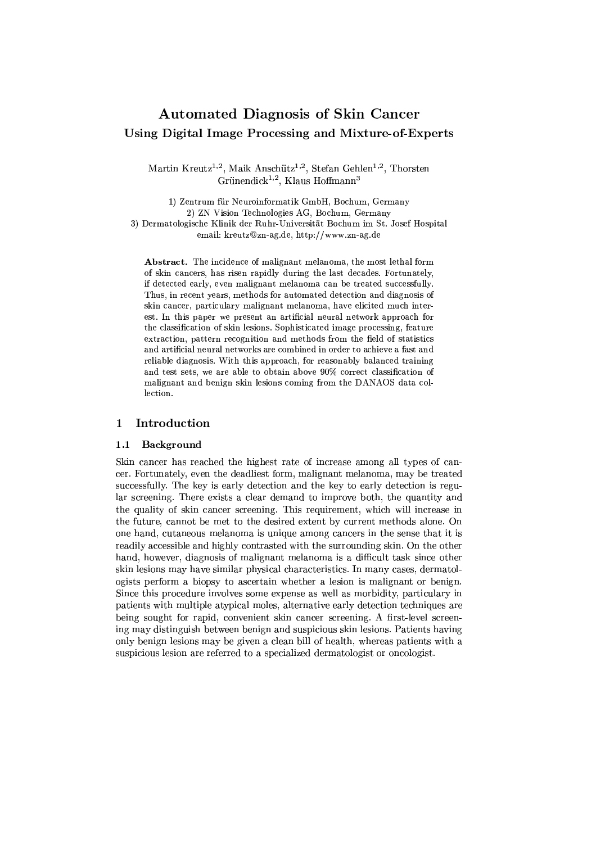# **Automated Diagnosis of Skin Cancer** Using Digital Image Processing and Mixture-of-Experts

Martin Kreutz<sup>1,2</sup>, Maik Anschütz<sup>1,2</sup>, Stefan Gehlen<sup>1,2</sup>, Thorsten Grünendick<sup>1,2</sup>, Klaus Hoffmann<sup>3</sup>

1) Zentrum für Neuroinformatik GmbH, Bochum, Germany 2) ZN Vision Technologies AG, Bochum, Germany 3) Dermatologische Klinik der Ruhr-Universität Bochum im St. Josef Hospital email: kreutz@zn-ag.de, http://www.zn-ag.de

Abstract. The incidence of malignant melanoma, the most lethal form of skin cancers, has risen rapidly during the last decades. Fortunately, if detected early, even malignant melanoma can be treated successfully. Thus, in recent years, methods for automated detection and diagnosis of skin cancer, particulary malignant melanoma, have elicited much interest. In this paper we present an artificial neural network approach for the classification of skin lesions. Sophisticated image processing, feature extraction, pattern recognition and methods from the field of statistics and artificial neural networks are combined in order to achieve a fast and reliable diagnosis. With this approach, for reasonably balanced training and test sets, we are able to obtain above 90% correct classification of malignant and benign skin lesions coming from the DANAOS data collection

#### $\mathbf{1}$ Introduction

#### Background  $1.1$

Skin cancer has reached the highest rate of increase among all types of cancer. Fortunately, even the deadliest form, malignant melanoma, may be treated successfully. The key is early detection and the key to early detection is regular screening. There exists a clear demand to improve both, the quantity and the quality of skin cancer screening. This requirement, which will increase in the future, cannot be met to the desired extent by current methods alone. On one hand, cutaneous melanoma is unique among cancers in the sense that it is readily accessible and highly contrasted with the surrounding skin. On the other hand, however, diagnosis of malignant melanoma is a difficult task since other skin lesions may have similar physical characteristics. In many cases, dermatologists perform a biopsy to ascertain whether a lesion is malignant or benign. Since this procedure involves some expense as well as morbidity, particulary in patients with multiple atypical moles, alternative early detection techniques are being sought for rapid, convenient skin cancer screening. A first-level screening may distinguish between benign and suspicious skin lesions. Patients having only benign lesions may be given a clean bill of health, whereas patients with a suspicious lesion are referred to a specialized dermatologist or oncologist.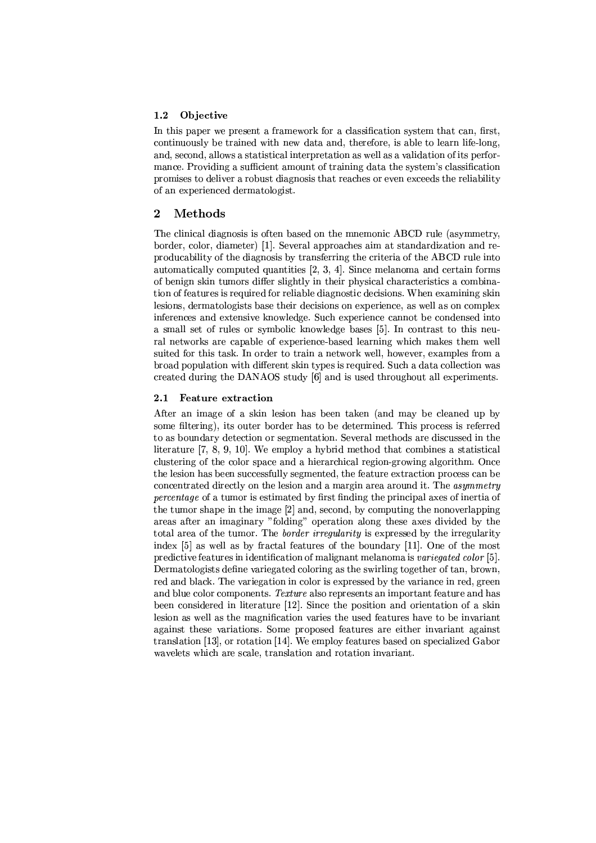#### Objective  $1.2$

In this paper we present a framework for a classification system that can, first, continuously be trained with new data and, therefore, is able to learn life-long, and, second, allows a statistical interpretation as well as a validation of its performance. Providing a sufficient amount of training data the system's classification promises to deliver a robust diagnosis that reaches or even exceeds the reliability of an experienced dermatologist.

### $\overline{2}$ Methods

The clinical diagnosis is often based on the mnemonic ABCD rule (asymmetry, border, color, diameter) [1]. Several approaches aim at standardization and reproducability of the diagnosis by transferring the criteria of the ABCD rule into automatically computed quantities [2, 3, 4]. Since melanoma and certain forms of benign skin tumors differ slightly in their physical characteristics a combination of features is required for reliable diagnostic decisions. When examining skin lesions, dermatologists base their decisions on experience, as well as on complex inferences and extensive knowledge. Such experience cannot be condensed into a small set of rules or symbolic knowledge bases [5]. In contrast to this neural networks are capable of experience-based learning which makes them well suited for this task. In order to train a network well, however, examples from a broad population with different skin types is required. Such a data collection was created during the DANAOS study [6] and is used throughout all experiments.

#### $2.1$ **Feature extraction**

After an image of a skin lesion has been taken (and may be cleaned up by some filtering), its outer border has to be determined. This process is referred to as boundary detection or segmentation. Several methods are discussed in the literature  $[7, 8, 9, 10]$ . We employ a hybrid method that combines a statistical clustering of the color space and a hierarchical region-growing algorithm. Once the lesion has been successfully segmented, the feature extraction process can be concentrated directly on the lesion and a margin area around it. The *asymmetry percentage* of a tumor is estimated by first finding the principal axes of inertia of the tumor shape in the image [2] and, second, by computing the nonoverlapping areas after an imaginary "folding" operation along these axes divided by the total area of the tumor. The *border irregularity* is expressed by the irregularity index [5] as well as by fractal features of the boundary [11]. One of the most predictive features in identification of malignant melanoma is variegated color [5]. Dermatologists define variegated coloring as the swirling together of tan, brown, red and black. The variegation in color is expressed by the variance in red, green and blue color components. Texture also represents an important feature and has been considered in literature [12]. Since the position and orientation of a skin lesion as well as the magnification varies the used features have to be invariant against these variations. Some proposed features are either invariant against translation [13], or rotation [14]. We employ features based on specialized Gabor wavelets which are scale, translation and rotation invariant.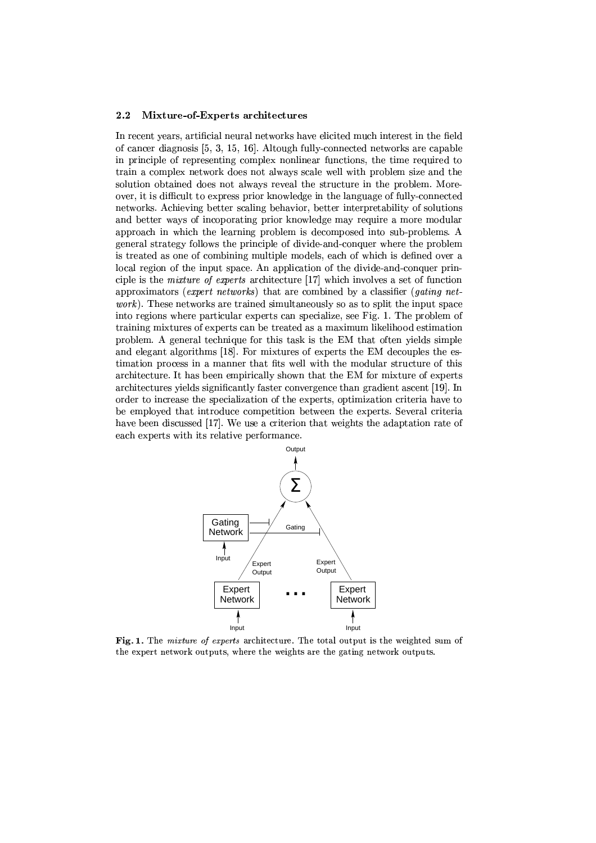#### Mixture-of-Experts architectures  $2.2$

In recent years, artificial neural networks have elicited much interest in the field of cancer diagnosis [5, 3, 15, 16]. Altough fully-connected networks are capable in principle of representing complex nonlinear functions, the time required to train a complex network does not always scale well with problem size and the solution obtained does not always reveal the structure in the problem. Moreover, it is difficult to express prior knowledge in the language of fully-connected networks. Achieving better scaling behavior, better interpretability of solutions and better ways of incoporating prior knowledge may require a more modular approach in which the learning problem is decomposed into sub-problems. A general strategy follows the principle of divide-and-conquer where the problem is treated as one of combining multiple models, each of which is defined over a local region of the input space. An application of the divide-and-conquer principle is the *mixture of experts* architecture  $[17]$  which involves a set of function approximators *(expert networks)* that are combined by a classifier *(gating network*). These networks are trained simultaneously so as to split the input space into regions where particular experts can specialize, see Fig. 1. The problem of training mixtures of experts can be treated as a maximum likelihood estimation problem. A general technique for this task is the EM that often yields simple and elegant algorithms [18]. For mixtures of experts the EM decouples the estimation process in a manner that fits well with the modular structure of this architecture. It has been empirically shown that the EM for mixture of experts architectures yields significantly faster convergence than gradient ascent [19]. In order to increase the specialization of the experts, optimization criteria have to be employed that introduce competition between the experts. Several criteria have been discussed [17]. We use a criterion that weights the adaptation rate of each experts with its relative performance.



Fig. 1. The mixture of experts architecture. The total output is the weighted sum of the expert network outputs, where the weights are the gating network outputs.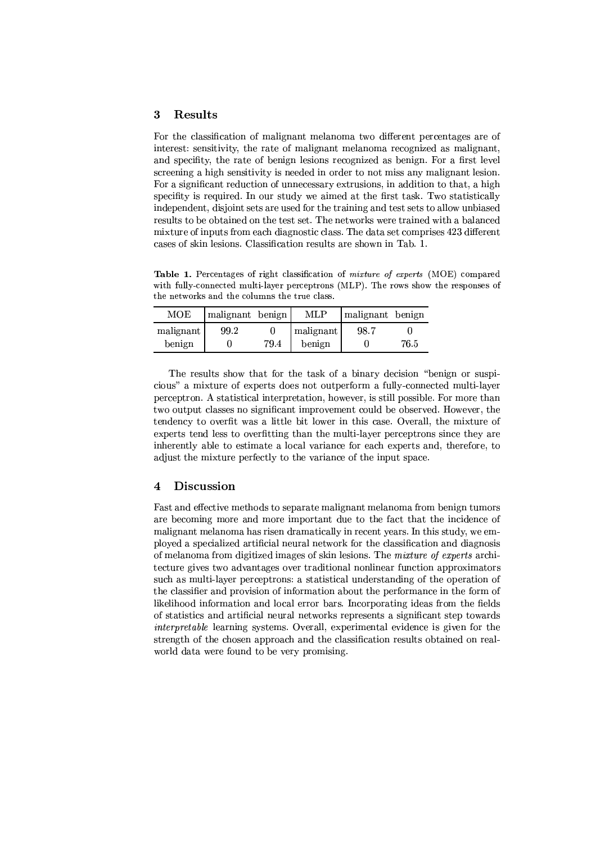# Results 3

For the classification of malignant melanoma two different percentages are of interest: sensitivity, the rate of malignant melanoma recognized as malignant, and specifity, the rate of benign lesions recognized as benign. For a first level screening a high sensitivity is needed in order to not miss any malignant lesion. For a significant reduction of unnecessary extrusions, in addition to that, a high specifity is required. In our study we aimed at the first task. Two statistically independent, disjoint sets are used for the training and test sets to allow unbiased results to be obtained on the test set. The networks were trained with a balanced mixture of inputs from each diagnostic class. The data set comprises 423 different cases of skin lesions. Classification results are shown in Tab. 1.

Table 1. Percentages of right classification of *mixture of experts* (MOE) compared with fully-connected multi-layer perceptrons (MLP). The rows show the responses of the networks and the columns the true class.

| MOE       | malignant benign |      | MLP       | malignant benign |      |
|-----------|------------------|------|-----------|------------------|------|
| malignant | 99.2             |      | malignant | 98.7             |      |
| benign    |                  | 79.4 | benign    |                  | 76.5 |

The results show that for the task of a binary decision "benign or suspicious" a mixture of experts does not outperform a fully-connected multi-layer perceptron. A statistical interpretation, however, is still possible. For more than two output classes no significant improvement could be observed. However, the tendency to overfit was a little bit lower in this case. Overall, the mixture of experts tend less to overfitting than the multi-layer perceptrons since they are inherently able to estimate a local variance for each experts and, therefore, to adjust the mixture perfectly to the variance of the input space.

# $\overline{\mathbf{4}}$ **Discussion**

Fast and effective methods to separate malignant melanoma from benign tumors are becoming more and more important due to the fact that the incidence of malignant melanoma has risen dramatically in recent years. In this study, we employed a specialized artificial neural network for the classification and diagnosis of melanoma from digitized images of skin lesions. The *mixture of experts* architecture gives two advantages over traditional nonlinear function approximators such as multi-layer perceptrons: a statistical understanding of the operation of the classifier and provision of information about the performance in the form of likelihood information and local error bars. Incorporating ideas from the fields of statistics and artificial neural networks represents a significant step towards *interpretable* learning systems. Overall, experimental evidence is given for the strength of the chosen approach and the classification results obtained on realworld data were found to be very promising.